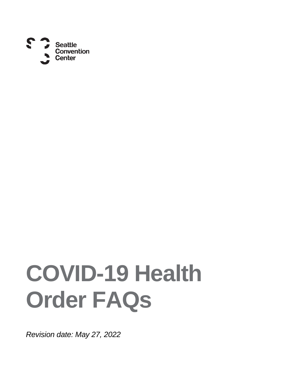

# **COVID-19 Health Order FAQs**

*Revision date: May 27, 2022*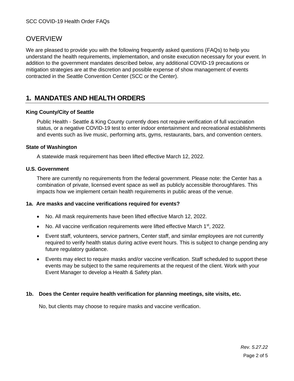## **OVERVIEW**

We are pleased to provide you with the following frequently asked questions (FAQs) to help you understand the health requirements, implementation, and onsite execution necessary for your event. In addition to the government mandates described below, any additional COVID-19 precautions or mitigation strategies are at the discretion and possible expense of show management of events contracted in the Seattle Convention Center (SCC or the Center).

## **1. MANDATES AND HEALTH ORDERS**

#### **King County/City of Seattle**

Public Health - Seattle & King County currently does not require verification of full vaccination status, or a negative COVID-19 test to enter indoor entertainment and recreational establishments and events such as live music, performing arts, gyms, restaurants, bars, and convention centers.

#### **State of Washington**

A statewide mask requirement has been lifted effective March 12, 2022.

#### **U.S. Government**

There are currently no requirements from the federal government. Please note: the Center has a combination of private, licensed event space as well as publicly accessible thoroughfares. This impacts how we implement certain health requirements in public areas of the venue.

#### **1a. Are masks and vaccine verifications required for events?**

- No. All mask requirements have been lifted effective March 12, 2022.
- No. All vaccine verification requirements were lifted effective March  $1<sup>st</sup>$ , 2022.
- Event staff, volunteers, service partners, Center staff, and similar employees are not currently required to verify health status during active event hours. This is subject to change pending any future regulatory guidance.
- Events may elect to require masks and/or vaccine verification. Staff scheduled to support these events may be subject to the same requirements at the request of the client. Work with your Event Manager to develop a Health & Safety plan.

#### **1b. Does the Center require health verification for planning meetings, site visits, etc.**

No, but clients may choose to require masks and vaccine verification.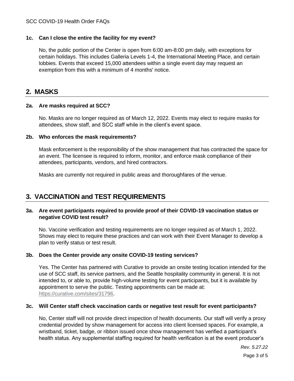#### SCC COVID-19 Health Order FAQs

#### **1c. Can I close the entire the facility for my event?**

No, the public portion of the Center is open from 6:00 am-8:00 pm daily, with exceptions for certain holidays. This includes Galleria Levels 1-4, the International Meeting Place, and certain lobbies. Events that exceed 15,000 attendees within a single event day may request an exemption from this with a minimum of 4 months' notice.

### **2. MASKS**

#### **2a. Are masks required at SCC?**

No. Masks are no longer required as of March 12, 2022. Events may elect to require masks for attendees, show staff, and SCC staff while in the client's event space.

#### **2b. Who enforces the mask requirements?**

Mask enforcement is the responsibility of the show management that has contracted the space for an event. The licensee is required to inform, monitor, and enforce mask compliance of their attendees, participants, vendors, and hired contractors.

Masks are currently not required in public areas and thoroughfares of the venue.

## **3. VACCINATION and TEST REQUIREMENTS**

#### **3a. Are event participants required to provide proof of their COVID-19 vaccination status or negative COVID test result?**

No. Vaccine verification and testing requirements are no longer required as of March 1, 2022. Shows may elect to require these practices and can work with their Event Manager to develop a plan to verify status or test result.

#### **3b. Does the Center provide any onsite COVID-19 testing services?**

Yes. The Center has partnered with Curative to provide an onsite testing location intended for the use of SCC staff, its service partners, and the Seattle hospitality community in general. It is not intended to, or able to, provide high-volume testing for event participants, but it is available by appointment to serve the public. Testing appointments can be made at: [https://curative.com/sites/31796.](https://curative.com/sites/31796)

#### **3c. Will Center staff check vaccination cards or negative test result for event participants?**

No, Center staff will not provide direct inspection of health documents. Our staff will verify a proxy credential provided by show management for access into client licensed spaces. For example, a wristband, ticket, badge, or ribbon issued once show management has verified a participant's health status. Any supplemental staffing required for health verification is at the event producer's

*Rev. 5.27.22*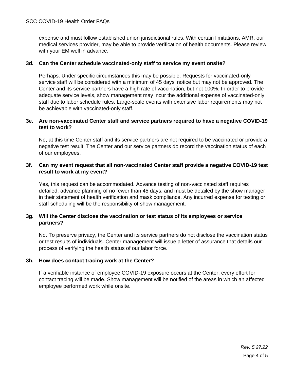expense and must follow established union jurisdictional rules. With certain limitations, AMR, our medical services provider, may be able to provide verification of health documents. Please review with your EM well in advance.

#### **3d. Can the Center schedule vaccinated-only staff to service my event onsite?**

Perhaps. Under specific circumstances this may be possible. Requests for vaccinated-only service staff will be considered with a minimum of 45 days' notice but may not be approved. The Center and its service partners have a high rate of vaccination, but not 100%. In order to provide adequate service levels, show management may incur the additional expense of vaccinated-only staff due to labor schedule rules. Large-scale events with extensive labor requirements may not be achievable with vaccinated-only staff.

#### **3e. Are non-vaccinated Center staff and service partners required to have a negative COVID-19 test to work?**

No, at this time Center staff and its service partners are not required to be vaccinated or provide a negative test result. The Center and our service partners do record the vaccination status of each of our employees.

#### **3f. Can my event request that all non-vaccinated Center staff provide a negative COVID-19 test result to work at my event?**

Yes, this request can be accommodated. Advance testing of non-vaccinated staff requires detailed, advance planning of no fewer than 45 days, and must be detailed by the show manager in their statement of health verification and mask compliance. Any incurred expense for testing or staff scheduling will be the responsibility of show management.

#### **3g. Will the Center disclose the vaccination or test status of its employees or service partners?**

No. To preserve privacy, the Center and its service partners do not disclose the vaccination status or test results of individuals. Center management will issue a letter of assurance that details our process of verifying the health status of our labor force.

#### **3h. How does contact tracing work at the Center?**

If a verifiable instance of employee COVID-19 exposure occurs at the Center, every effort for contact tracing will be made. Show management will be notified of the areas in which an affected employee performed work while onsite.